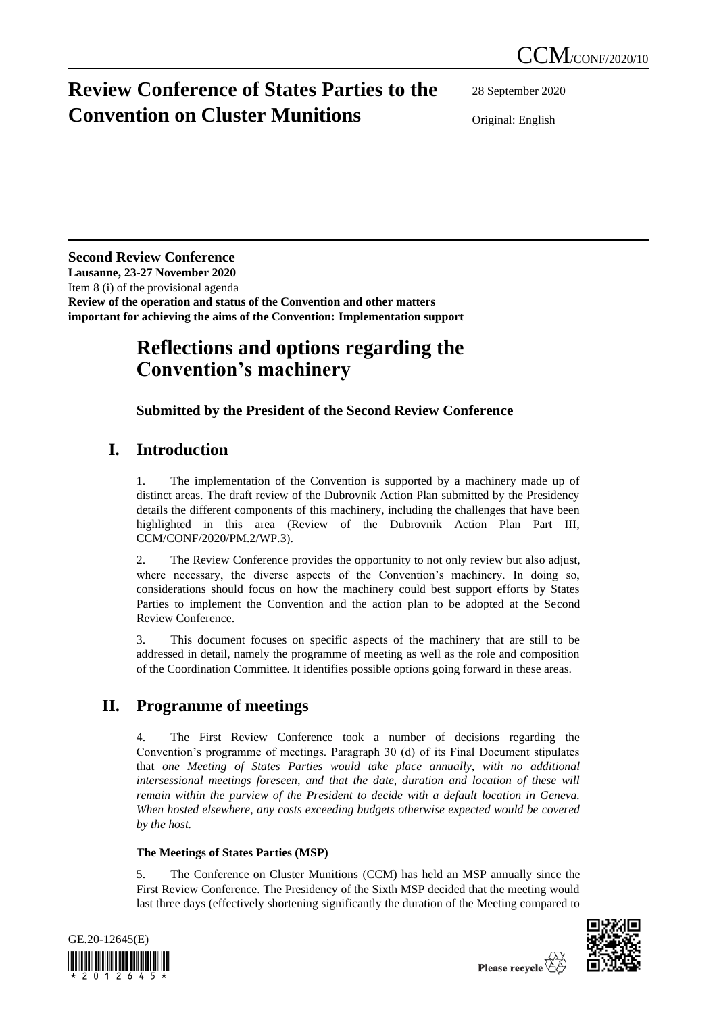# **Review Conference of States Parties to the Convention on Cluster Munitions**

28 September 2020

Original: English

### **Second Review Conference**

**Lausanne, 23-27 November 2020** Item 8 (i) of the provisional agenda **Review of the operation and status of the Convention and other matters important for achieving the aims of the Convention: Implementation support**

# **Reflections and options regarding the Convention's machinery**

## **Submitted by the President of the Second Review Conference**

# **I. Introduction**

1. The implementation of the Convention is supported by a machinery made up of distinct areas. The draft review of the Dubrovnik Action Plan submitted by the Presidency details the different components of this machinery, including the challenges that have been highlighted in this area (Review of the Dubrovnik Action Plan Part III, CCM/CONF/2020/PM.2/WP.3).

2. The Review Conference provides the opportunity to not only review but also adjust, where necessary, the diverse aspects of the Convention's machinery. In doing so, considerations should focus on how the machinery could best support efforts by States Parties to implement the Convention and the action plan to be adopted at the Second Review Conference.

3. This document focuses on specific aspects of the machinery that are still to be addressed in detail, namely the programme of meeting as well as the role and composition of the Coordination Committee. It identifies possible options going forward in these areas.

# **II. Programme of meetings**

4. The First Review Conference took a number of decisions regarding the Convention's programme of meetings. Paragraph 30 (d) of its Final Document stipulates that *one Meeting of States Parties would take place annually, with no additional intersessional meetings foreseen, and that the date, duration and location of these will remain within the purview of the President to decide with a default location in Geneva. When hosted elsewhere, any costs exceeding budgets otherwise expected would be covered by the host.*

### **The Meetings of States Parties (MSP)**

5. The Conference on Cluster Munitions (CCM) has held an MSP annually since the First Review Conference. The Presidency of the Sixth MSP decided that the meeting would last three days (effectively shortening significantly the duration of the Meeting compared to



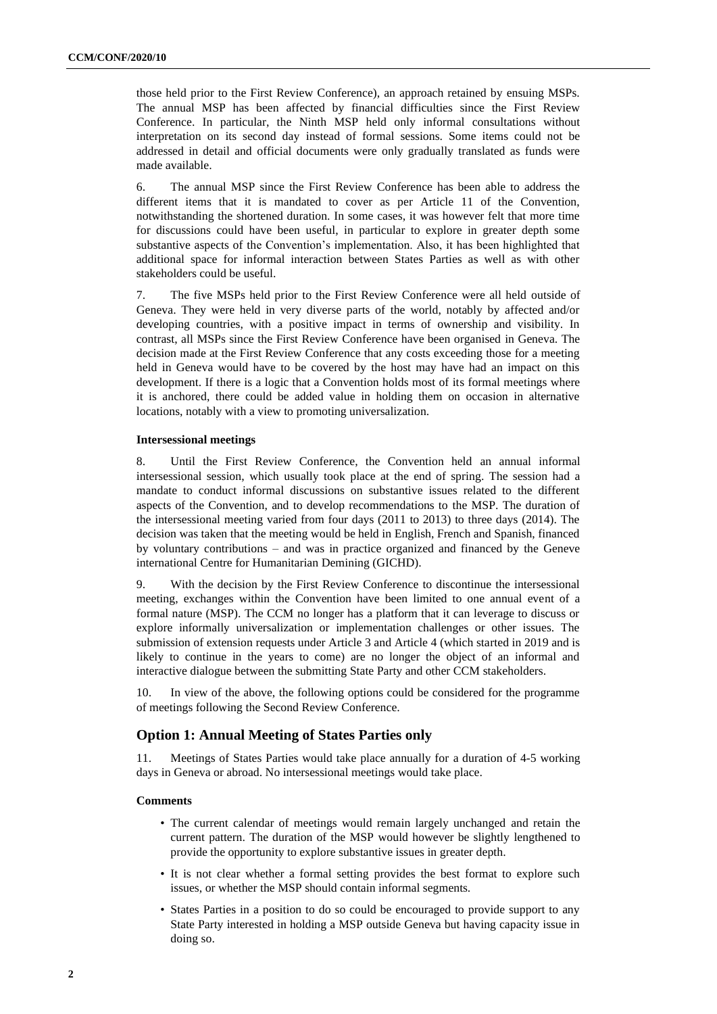those held prior to the First Review Conference), an approach retained by ensuing MSPs. The annual MSP has been affected by financial difficulties since the First Review Conference. In particular, the Ninth MSP held only informal consultations without interpretation on its second day instead of formal sessions. Some items could not be addressed in detail and official documents were only gradually translated as funds were made available.

6. The annual MSP since the First Review Conference has been able to address the different items that it is mandated to cover as per Article 11 of the Convention, notwithstanding the shortened duration. In some cases, it was however felt that more time for discussions could have been useful, in particular to explore in greater depth some substantive aspects of the Convention's implementation. Also, it has been highlighted that additional space for informal interaction between States Parties as well as with other stakeholders could be useful.

7. The five MSPs held prior to the First Review Conference were all held outside of Geneva. They were held in very diverse parts of the world, notably by affected and/or developing countries, with a positive impact in terms of ownership and visibility. In contrast, all MSPs since the First Review Conference have been organised in Geneva. The decision made at the First Review Conference that any costs exceeding those for a meeting held in Geneva would have to be covered by the host may have had an impact on this development. If there is a logic that a Convention holds most of its formal meetings where it is anchored, there could be added value in holding them on occasion in alternative locations, notably with a view to promoting universalization.

#### **Intersessional meetings**

8. Until the First Review Conference, the Convention held an annual informal intersessional session, which usually took place at the end of spring. The session had a mandate to conduct informal discussions on substantive issues related to the different aspects of the Convention, and to develop recommendations to the MSP. The duration of the intersessional meeting varied from four days (2011 to 2013) to three days (2014). The decision was taken that the meeting would be held in English, French and Spanish, financed by voluntary contributions – and was in practice organized and financed by the Geneve international Centre for Humanitarian Demining (GICHD).

9. With the decision by the First Review Conference to discontinue the intersessional meeting, exchanges within the Convention have been limited to one annual event of a formal nature (MSP). The CCM no longer has a platform that it can leverage to discuss or explore informally universalization or implementation challenges or other issues. The submission of extension requests under Article 3 and Article 4 (which started in 2019 and is likely to continue in the years to come) are no longer the object of an informal and interactive dialogue between the submitting State Party and other CCM stakeholders.

10. In view of the above, the following options could be considered for the programme of meetings following the Second Review Conference.

#### **Option 1: Annual Meeting of States Parties only**

11. Meetings of States Parties would take place annually for a duration of 4-5 working days in Geneva or abroad. No intersessional meetings would take place.

#### **Comments**

- The current calendar of meetings would remain largely unchanged and retain the current pattern. The duration of the MSP would however be slightly lengthened to provide the opportunity to explore substantive issues in greater depth.
- It is not clear whether a formal setting provides the best format to explore such issues, or whether the MSP should contain informal segments.
- States Parties in a position to do so could be encouraged to provide support to any State Party interested in holding a MSP outside Geneva but having capacity issue in doing so.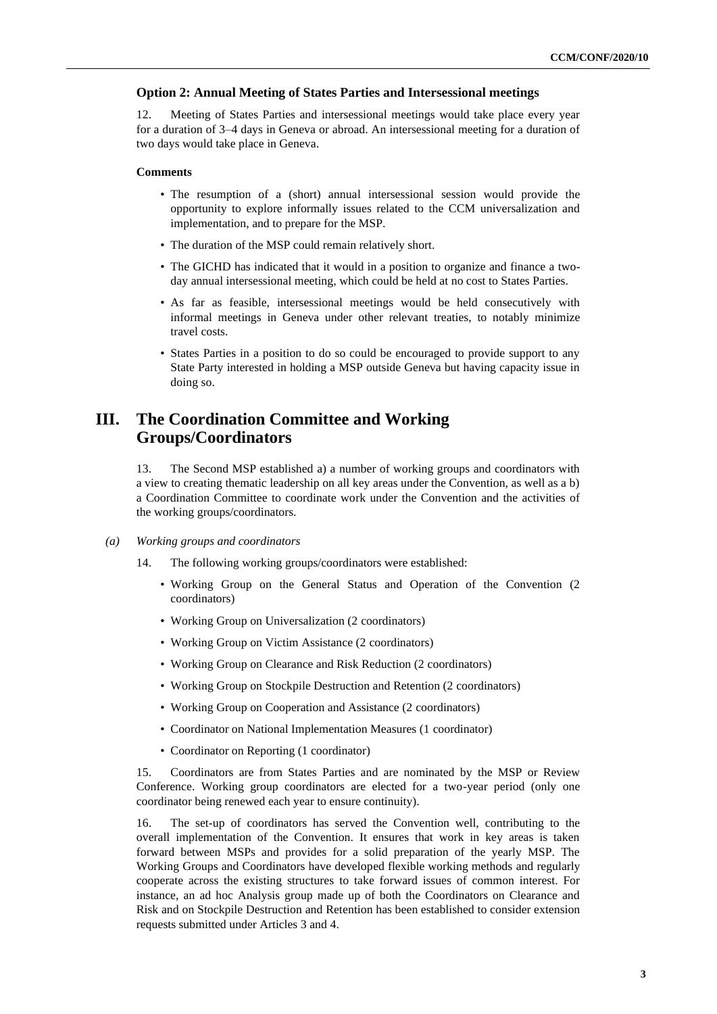#### **Option 2: Annual Meeting of States Parties and Intersessional meetings**

12. Meeting of States Parties and intersessional meetings would take place every year for a duration of 3–4 days in Geneva or abroad. An intersessional meeting for a duration of two days would take place in Geneva.

#### **Comments**

- The resumption of a (short) annual intersessional session would provide the opportunity to explore informally issues related to the CCM universalization and implementation, and to prepare for the MSP.
- The duration of the MSP could remain relatively short.
- The GICHD has indicated that it would in a position to organize and finance a twoday annual intersessional meeting, which could be held at no cost to States Parties.
- As far as feasible, intersessional meetings would be held consecutively with informal meetings in Geneva under other relevant treaties, to notably minimize travel costs.
- States Parties in a position to do so could be encouraged to provide support to any State Party interested in holding a MSP outside Geneva but having capacity issue in doing so.

## **III. The Coordination Committee and Working Groups/Coordinators**

13. The Second MSP established a) a number of working groups and coordinators with a view to creating thematic leadership on all key areas under the Convention, as well as a b) a Coordination Committee to coordinate work under the Convention and the activities of the working groups/coordinators.

- *(a) Working groups and coordinators*
	- 14. The following working groups/coordinators were established:
		- Working Group on the General Status and Operation of the Convention (2 coordinators)
		- Working Group on Universalization (2 coordinators)
		- Working Group on Victim Assistance (2 coordinators)
		- Working Group on Clearance and Risk Reduction (2 coordinators)
		- Working Group on Stockpile Destruction and Retention (2 coordinators)
		- Working Group on Cooperation and Assistance (2 coordinators)
		- Coordinator on National Implementation Measures (1 coordinator)
		- Coordinator on Reporting (1 coordinator)

15. Coordinators are from States Parties and are nominated by the MSP or Review Conference. Working group coordinators are elected for a two-year period (only one coordinator being renewed each year to ensure continuity).

16. The set-up of coordinators has served the Convention well, contributing to the overall implementation of the Convention. It ensures that work in key areas is taken forward between MSPs and provides for a solid preparation of the yearly MSP. The Working Groups and Coordinators have developed flexible working methods and regularly cooperate across the existing structures to take forward issues of common interest. For instance, an ad hoc Analysis group made up of both the Coordinators on Clearance and Risk and on Stockpile Destruction and Retention has been established to consider extension requests submitted under Articles 3 and 4.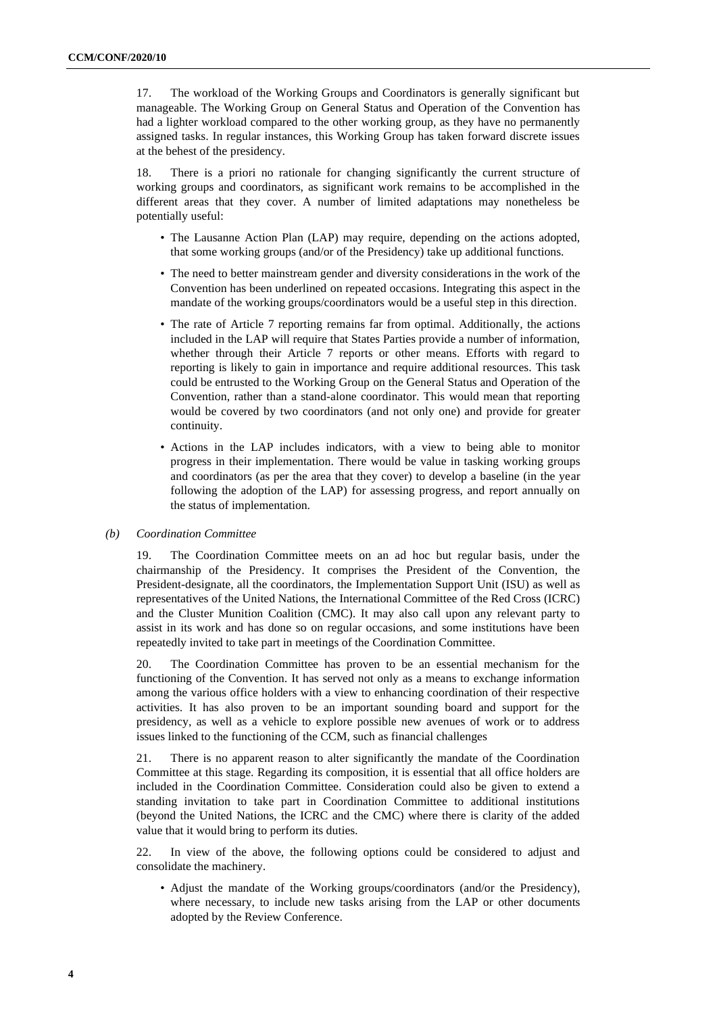17. The workload of the Working Groups and Coordinators is generally significant but manageable. The Working Group on General Status and Operation of the Convention has had a lighter workload compared to the other working group, as they have no permanently assigned tasks. In regular instances, this Working Group has taken forward discrete issues at the behest of the presidency.

18. There is a priori no rationale for changing significantly the current structure of working groups and coordinators, as significant work remains to be accomplished in the different areas that they cover. A number of limited adaptations may nonetheless be potentially useful:

- The Lausanne Action Plan (LAP) may require, depending on the actions adopted, that some working groups (and/or of the Presidency) take up additional functions.
- The need to better mainstream gender and diversity considerations in the work of the Convention has been underlined on repeated occasions. Integrating this aspect in the mandate of the working groups/coordinators would be a useful step in this direction.
- The rate of Article 7 reporting remains far from optimal. Additionally, the actions included in the LAP will require that States Parties provide a number of information, whether through their Article 7 reports or other means. Efforts with regard to reporting is likely to gain in importance and require additional resources. This task could be entrusted to the Working Group on the General Status and Operation of the Convention, rather than a stand-alone coordinator. This would mean that reporting would be covered by two coordinators (and not only one) and provide for greater continuity.
- Actions in the LAP includes indicators, with a view to being able to monitor progress in their implementation. There would be value in tasking working groups and coordinators (as per the area that they cover) to develop a baseline (in the year following the adoption of the LAP) for assessing progress, and report annually on the status of implementation.

#### *(b) Coordination Committee*

19. The Coordination Committee meets on an ad hoc but regular basis, under the chairmanship of the Presidency. It comprises the President of the Convention, the President-designate, all the coordinators, the Implementation Support Unit (ISU) as well as representatives of the United Nations, the International Committee of the Red Cross (ICRC) and the Cluster Munition Coalition (CMC). It may also call upon any relevant party to assist in its work and has done so on regular occasions, and some institutions have been repeatedly invited to take part in meetings of the Coordination Committee.

20. The Coordination Committee has proven to be an essential mechanism for the functioning of the Convention. It has served not only as a means to exchange information among the various office holders with a view to enhancing coordination of their respective activities. It has also proven to be an important sounding board and support for the presidency, as well as a vehicle to explore possible new avenues of work or to address issues linked to the functioning of the CCM, such as financial challenges

21. There is no apparent reason to alter significantly the mandate of the Coordination Committee at this stage. Regarding its composition, it is essential that all office holders are included in the Coordination Committee. Consideration could also be given to extend a standing invitation to take part in Coordination Committee to additional institutions (beyond the United Nations, the ICRC and the CMC) where there is clarity of the added value that it would bring to perform its duties.

22. In view of the above, the following options could be considered to adjust and consolidate the machinery.

• Adjust the mandate of the Working groups/coordinators (and/or the Presidency), where necessary, to include new tasks arising from the LAP or other documents adopted by the Review Conference.